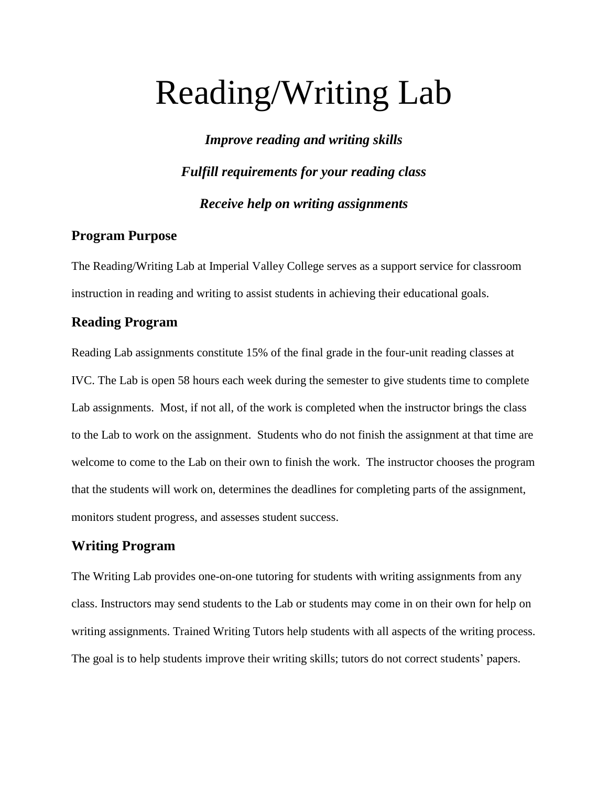# Reading/Writing Lab

*Improve reading and writing skills Fulfill requirements for your reading class Receive help on writing assignments*

#### **Program Purpose**

The Reading/Writing Lab at Imperial Valley College serves as a support service for classroom instruction in reading and writing to assist students in achieving their educational goals.

#### **Reading Program**

Reading Lab assignments constitute 15% of the final grade in the four-unit reading classes at IVC. The Lab is open 58 hours each week during the semester to give students time to complete Lab assignments. Most, if not all, of the work is completed when the instructor brings the class to the Lab to work on the assignment. Students who do not finish the assignment at that time are welcome to come to the Lab on their own to finish the work. The instructor chooses the program that the students will work on, determines the deadlines for completing parts of the assignment, monitors student progress, and assesses student success.

#### **Writing Program**

The Writing Lab provides one-on-one tutoring for students with writing assignments from any class. Instructors may send students to the Lab or students may come in on their own for help on writing assignments. Trained Writing Tutors help students with all aspects of the writing process. The goal is to help students improve their writing skills; tutors do not correct students' papers.